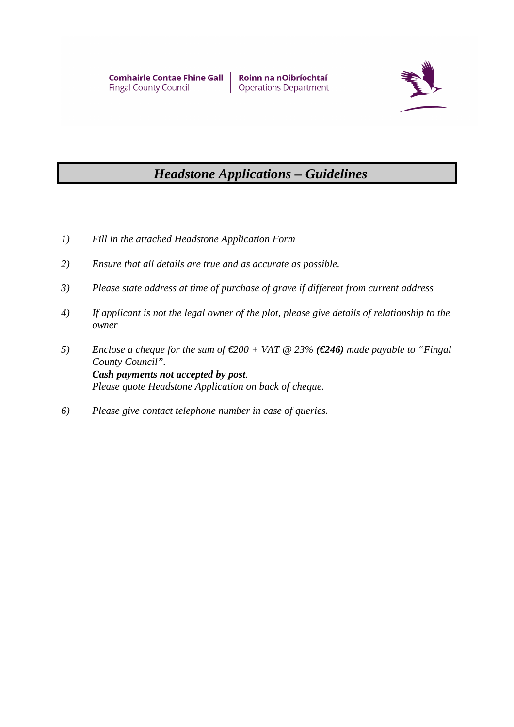

## *Headstone Applications – Guidelines*

- *1) Fill in the attached Headstone Application Form*
- *2) Ensure that all details are true and as accurate as possible.*
- *3) Please state address at time of purchase of grave if different from current address*
- *4) If applicant is not the legal owner of the plot, please give details of relationship to the owner*
- *5) Enclose a cheque for the sum of €200 + VAT @ 23% (€246) made payable to "Fingal County Council". Cash payments not accepted by post. Please quote Headstone Application on back of cheque.*
- *6) Please give contact telephone number in case of queries.*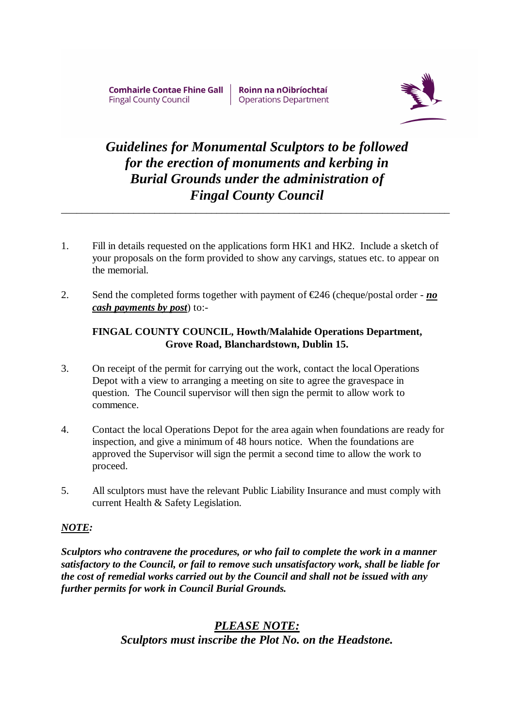**Comhairle Contae Fhine Gall Fingal County Council** 

Roinn na nOibríochtaí **Operations Department** 



## *Guidelines for Monumental Sculptors to be followed for the erection of monuments and kerbing in Burial Grounds under the administration of Fingal County Council*

*\_\_\_\_\_\_\_\_\_\_\_\_\_\_\_\_\_\_\_\_\_\_\_\_\_\_\_\_\_\_\_\_\_\_\_\_\_\_\_\_\_\_\_\_\_\_\_\_\_\_\_\_\_\_\_\_\_\_\_\_\_\_\_\_\_\_\_\_\_\_\_\_\_\_\_*

- 1. Fill in details requested on the applications form HK1 and HK2. Include a sketch of your proposals on the form provided to show any carvings, statues etc. to appear on the memorial.
- 2. Send the completed forms together with payment of  $\epsilon$ 246 (cheque/postal order *no cash payments by post*) to:-

#### **FINGAL COUNTY COUNCIL, Howth/Malahide Operations Department, Grove Road, Blanchardstown, Dublin 15.**

- 3. On receipt of the permit for carrying out the work, contact the local Operations Depot with a view to arranging a meeting on site to agree the gravespace in question. The Council supervisor will then sign the permit to allow work to commence.
- 4. Contact the local Operations Depot for the area again when foundations are ready for inspection, and give a minimum of 48 hours notice. When the foundations are approved the Supervisor will sign the permit a second time to allow the work to proceed.
- 5. All sculptors must have the relevant Public Liability Insurance and must comply with current Health & Safety Legislation.

#### *NOTE:*

*Sculptors who contravene the procedures, or who fail to complete the work in a manner satisfactory to the Council, or fail to remove such unsatisfactory work, shall be liable for the cost of remedial works carried out by the Council and shall not be issued with any further permits for work in Council Burial Grounds.* 

### *PLEASE NOTE: Sculptors must inscribe the Plot No. on the Headstone.*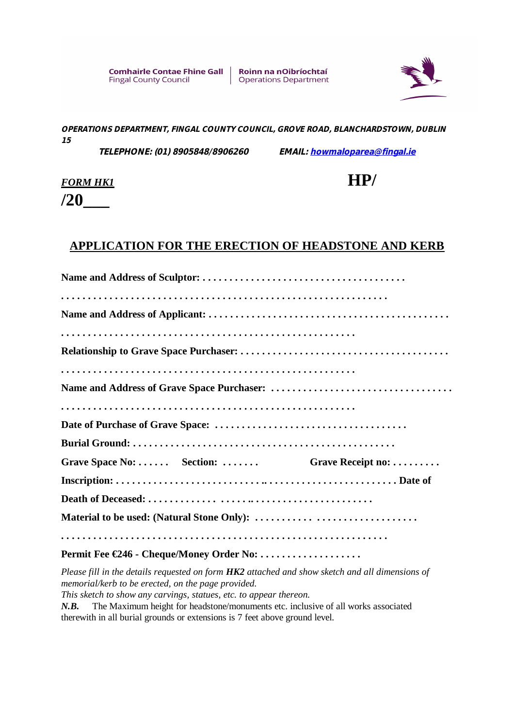Roinn na nOibríochtaí **Operations Department** 



*OPERATIONS DEPARTMENT, FINGAL COUNTY COUNCIL, GROVE ROAD, BLANCHARDSTOWN, DUBLIN 15*

 *TELEPHONE: (01) 8905848/8906260 EMAIL: howmaloparea@fingal.ie*

# *FORM HK1* **HP/**

**/20\_\_\_**

### **APPLICATION FOR THE ERECTION OF HEADSTONE AND KERB**

| Grave Space No:  Section:                | Grave Receipt no: |
|------------------------------------------|-------------------|
|                                          |                   |
|                                          |                   |
|                                          |                   |
|                                          |                   |
| Permit Fee €246 - Cheque/Money Order No: |                   |

*Please fill in the details requested on form HK2 attached and show sketch and all dimensions of memorial/kerb to be erected, on the page provided.* 

*This sketch to show any carvings, statues, etc. to appear thereon.* 

*N.B.* The Maximum height for headstone/monuments etc. inclusive of all works associated therewith in all burial grounds or extensions is 7 feet above ground level.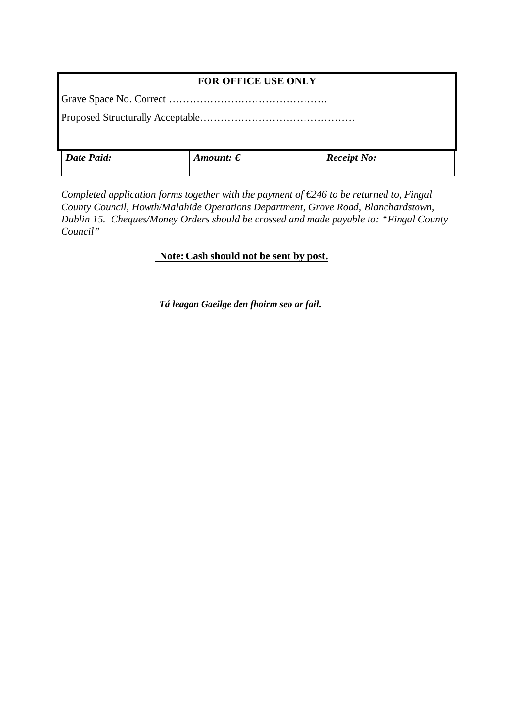#### **FOR OFFICE USE ONLY**

Grave Space No. Correct ……………………………………….

Proposed Structurally Acceptable………………………………………

| Date Paid: | Amount: $\boldsymbol{\epsilon}$ | <b>Receipt No:</b> |
|------------|---------------------------------|--------------------|
|            |                                 |                    |

*Completed application forms together with the payment of €246 to be returned to, Fingal County Council, Howth/Malahide Operations Department, Grove Road, Blanchardstown, Dublin 15. Cheques/Money Orders should be crossed and made payable to: "Fingal County Council"* 

#### **Note: Cash should not be sent by post.**

*Tá leagan Gaeilge den fhoirm seo ar fail.*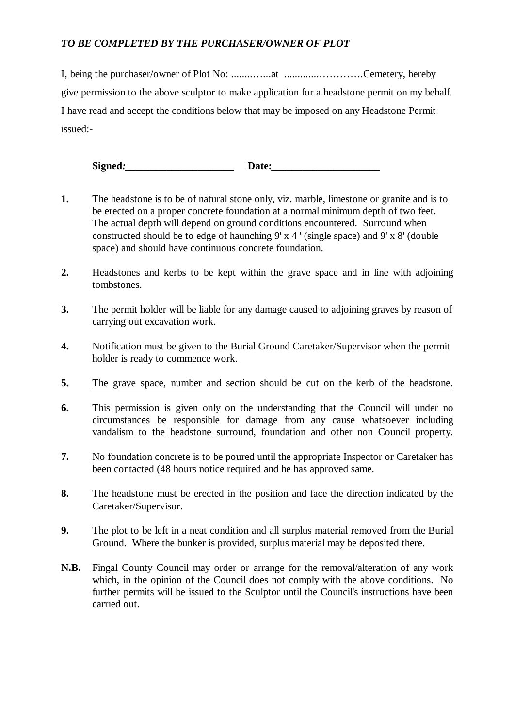#### *TO BE COMPLETED BY THE PURCHASER/OWNER OF PLOT*

I, being the purchaser/owner of Plot No: ........…...at .............………….Cemetery, hereby give permission to the above sculptor to make application for a headstone permit on my behalf. I have read and accept the conditions below that may be imposed on any Headstone Permit issued:-

Signed: **Date:** 

- **1.** The headstone is to be of natural stone only, viz. marble, limestone or granite and is to be erected on a proper concrete foundation at a normal minimum depth of two feet. The actual depth will depend on ground conditions encountered. Surround when constructed should be to edge of haunching 9' x 4 ' (single space) and 9' x 8' (double space) and should have continuous concrete foundation.
- **2.** Headstones and kerbs to be kept within the grave space and in line with adjoining tombstones.
- **3.** The permit holder will be liable for any damage caused to adjoining graves by reason of carrying out excavation work.
- **4.** Notification must be given to the Burial Ground Caretaker/Supervisor when the permit holder is ready to commence work.
- **5.** The grave space, number and section should be cut on the kerb of the headstone.
- **6.** This permission is given only on the understanding that the Council will under no circumstances be responsible for damage from any cause whatsoever including vandalism to the headstone surround, foundation and other non Council property.
- **7.** No foundation concrete is to be poured until the appropriate Inspector or Caretaker has been contacted (48 hours notice required and he has approved same.
- **8.** The headstone must be erected in the position and face the direction indicated by the Caretaker/Supervisor.
- **9.** The plot to be left in a neat condition and all surplus material removed from the Burial Ground. Where the bunker is provided, surplus material may be deposited there.
- **N.B.** Fingal County Council may order or arrange for the removal/alteration of any work which, in the opinion of the Council does not comply with the above conditions. No further permits will be issued to the Sculptor until the Council's instructions have been carried out.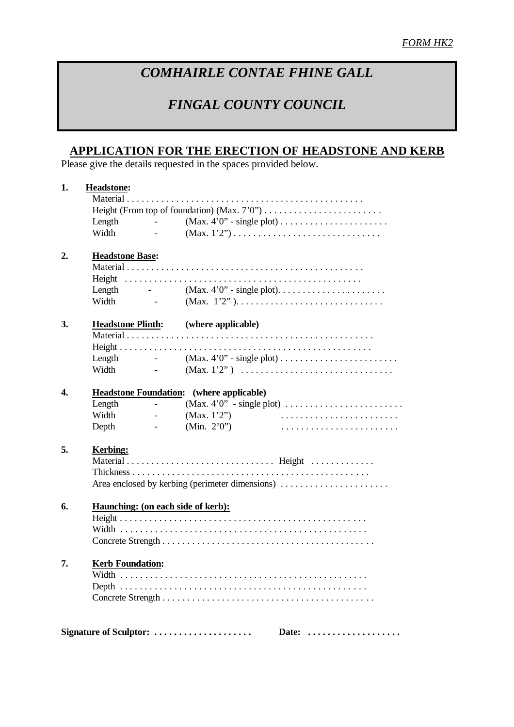## *COMHAIRLE CONTAE FHINE GALL*

## *FINGAL COUNTY COUNCIL*

### **APPLICATION FOR THE ERECTION OF HEADSTONE AND KERB**

Please give the details requested in the spaces provided below.

| 1.             | Headstone:                                      |                                                             |                                             |                                                                                     |  |  |  |
|----------------|-------------------------------------------------|-------------------------------------------------------------|---------------------------------------------|-------------------------------------------------------------------------------------|--|--|--|
|                |                                                 |                                                             |                                             |                                                                                     |  |  |  |
|                |                                                 |                                                             |                                             |                                                                                     |  |  |  |
|                | Length                                          |                                                             |                                             |                                                                                     |  |  |  |
|                | Width                                           | and the state of the state of the                           |                                             | $(Max. 1'2'') \dots \dots \dots \dots \dots \dots \dots \dots \dots \dots \dots$    |  |  |  |
| $\mathbf{2}$ . | <b>Headstone Base:</b>                          |                                                             |                                             |                                                                                     |  |  |  |
|                |                                                 |                                                             |                                             |                                                                                     |  |  |  |
|                |                                                 |                                                             |                                             |                                                                                     |  |  |  |
|                |                                                 |                                                             |                                             |                                                                                     |  |  |  |
|                | Width                                           |                                                             |                                             |                                                                                     |  |  |  |
| 3.             |                                                 |                                                             | <b>Headstone Plinth:</b> (where applicable) |                                                                                     |  |  |  |
|                |                                                 |                                                             |                                             |                                                                                     |  |  |  |
|                |                                                 |                                                             |                                             |                                                                                     |  |  |  |
|                |                                                 |                                                             |                                             | Length $ (Max. 4'0" - single plot) \dots \dots \dots \dots \dots \dots \dots \dots$ |  |  |  |
|                | Width                                           |                                                             |                                             |                                                                                     |  |  |  |
| 4.             | <b>Headstone Foundation:</b> (where applicable) |                                                             |                                             |                                                                                     |  |  |  |
|                | Length                                          | $\overline{\phantom{0}}$                                    |                                             | $(Max. 4'0'' - single plot) \dots \dots \dots \dots \dots \dots \dots \dots$        |  |  |  |
|                | Width                                           | $\mathcal{L}^{\mathcal{L}}$ and $\mathcal{L}^{\mathcal{L}}$ | (Max. $1'2'$ )                              |                                                                                     |  |  |  |
|                | Depth                                           | $\sim 100$ km s $^{-1}$                                     | (Min. $2'0'$ )                              |                                                                                     |  |  |  |
| 5.             | <b>Kerbing:</b>                                 |                                                             |                                             |                                                                                     |  |  |  |
|                |                                                 |                                                             |                                             |                                                                                     |  |  |  |
|                |                                                 |                                                             |                                             |                                                                                     |  |  |  |
|                |                                                 |                                                             |                                             |                                                                                     |  |  |  |
|                |                                                 |                                                             |                                             |                                                                                     |  |  |  |
| 6.             |                                                 | Haunching: (on each side of kerb):                          |                                             |                                                                                     |  |  |  |
|                |                                                 |                                                             |                                             |                                                                                     |  |  |  |
|                |                                                 |                                                             |                                             |                                                                                     |  |  |  |
|                |                                                 |                                                             |                                             |                                                                                     |  |  |  |
| 7.             |                                                 |                                                             |                                             |                                                                                     |  |  |  |
|                | <b>Kerb Foundation:</b>                         |                                                             |                                             |                                                                                     |  |  |  |
|                |                                                 |                                                             |                                             |                                                                                     |  |  |  |
|                |                                                 |                                                             |                                             |                                                                                     |  |  |  |
|                |                                                 |                                                             |                                             |                                                                                     |  |  |  |
|                |                                                 |                                                             |                                             |                                                                                     |  |  |  |
|                |                                                 |                                                             | Signature of Sculptor:                      | Date:                                                                               |  |  |  |